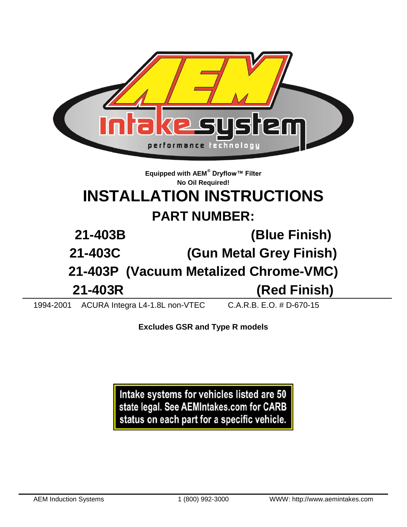

**Excludes GSR and Type R models**

Intake systems for vehicles listed are 50 state legal. See AEMIntakes.com for CARB status on each part for a specific vehicle.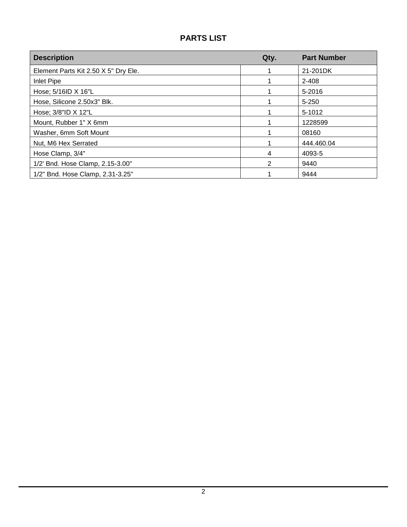# **PARTS LIST**

| <b>Description</b>                   | Qty. | <b>Part Number</b> |
|--------------------------------------|------|--------------------|
| Element Parts Kit 2.50 X 5" Dry Ele. |      | 21-201DK           |
| Inlet Pipe                           |      | 2-408              |
| Hose; 5/16ID X 16"L                  |      | 5-2016             |
| Hose, Silicone 2.50x3" Blk.          |      | $5 - 250$          |
| Hose; 3/8"ID X 12"L                  |      | 5-1012             |
| Mount, Rubber 1" X 6mm               |      | 1228599            |
| Washer, 6mm Soft Mount               |      | 08160              |
| Nut, M6 Hex Serrated                 |      | 444.460.04         |
| Hose Clamp, 3/4"                     | 4    | 4093-5             |
| 1/2' Bnd. Hose Clamp, 2.15-3.00"     | 2    | 9440               |
| 1/2" Bnd. Hose Clamp, 2.31-3.25"     |      | 9444               |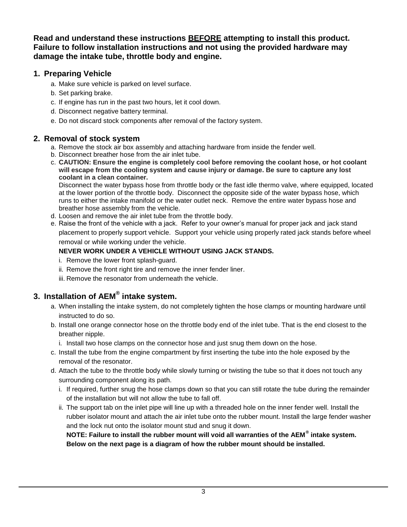**Read and understand these instructions BEFORE attempting to install this product. Failure to follow installation instructions and not using the provided hardware may damage the intake tube, throttle body and engine.**

## **1. Preparing Vehicle**

- a. Make sure vehicle is parked on level surface.
- b. Set parking brake.
- c. If engine has run in the past two hours, let it cool down.
- d. Disconnect negative battery terminal.
- e. Do not discard stock components after removal of the factory system.

# **2. Removal of stock system**

- a. Remove the stock air box assembly and attaching hardware from inside the fender well.
- b. Disconnect breather hose from the air inlet tube.
- c. **CAUTION: Ensure the engine is completely cool before removing the coolant hose, or hot coolant will escape from the cooling system and cause injury or damage. Be sure to capture any lost coolant in a clean container.**

Disconnect the water bypass hose from throttle body or the fast idle thermo valve, where equipped, located at the lower portion of the throttle body. Disconnect the opposite side of the water bypass hose, which runs to either the intake manifold or the water outlet neck. Remove the entire water bypass hose and breather hose assembly from the vehicle.

- d. Loosen and remove the air inlet tube from the throttle body.
- e. Raise the front of the vehicle with a jack. Refer to your owner's manual for proper jack and jack stand placement to properly support vehicle. Support your vehicle using properly rated jack stands before wheel removal or while working under the vehicle.

### **NEVER WORK UNDER A VEHICLE WITHOUT USING JACK STANDS.**

- i. Remove the lower front splash-guard.
- ii. Remove the front right tire and remove the inner fender liner.
- iii. Remove the resonator from underneath the vehicle.

# **3. Installation of AEM® intake system.**

- a. When installing the intake system, do not completely tighten the hose clamps or mounting hardware until instructed to do so.
- b. Install one orange connector hose on the throttle body end of the inlet tube. That is the end closest to the breather nipple.
	- i. Install two hose clamps on the connector hose and just snug them down on the hose.
- c. Install the tube from the engine compartment by first inserting the tube into the hole exposed by the removal of the resonator.
- d. Attach the tube to the throttle body while slowly turning or twisting the tube so that it does not touch any surrounding component along its path.
	- i. If required, further snug the hose clamps down so that you can still rotate the tube during the remainder of the installation but will not allow the tube to fall off.
	- ii. The support tab on the inlet pipe will line up with a threaded hole on the inner fender well. Install the rubber isolator mount and attach the air inlet tube onto the rubber mount. Install the large fender washer and the lock nut onto the isolator mount stud and snug it down.

**NOTE: Failure to install the rubber mount will void all warranties of the AEM® intake system. Below on the next page is a diagram of how the rubber mount should be installed.**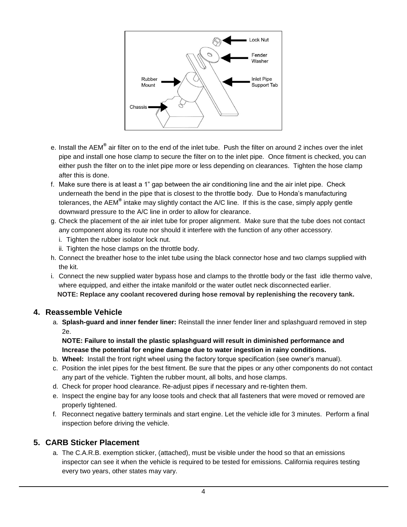

- e. Install the AEM**®** air filter on to the end of the inlet tube. Push the filter on around 2 inches over the inlet pipe and install one hose clamp to secure the filter on to the inlet pipe. Once fitment is checked, you can either push the filter on to the inlet pipe more or less depending on clearances. Tighten the hose clamp after this is done.
- f. Make sure there is at least a 1" gap between the air conditioning line and the air inlet pipe. Check underneath the bend in the pipe that is closest to the throttle body. Due to Honda's manufacturing tolerances, the AEM**®** intake may slightly contact the A/C line. If this is the case, simply apply gentle downward pressure to the A/C line in order to allow for clearance.
- g. Check the placement of the air inlet tube for proper alignment. Make sure that the tube does not contact any component along its route nor should it interfere with the function of any other accessory.
	- i. Tighten the rubber isolator lock nut.
	- ii. Tighten the hose clamps on the throttle body.
- h. Connect the breather hose to the inlet tube using the black connector hose and two clamps supplied with the kit.
- i. Connect the new supplied water bypass hose and clamps to the throttle body or the fast idle thermo valve, where equipped, and either the intake manifold or the water outlet neck disconnected earlier. **NOTE: Replace any coolant recovered during hose removal by replenishing the recovery tank.**

#### **4. Reassemble Vehicle**

a. **Splash-guard and inner fender liner:** Reinstall the inner fender liner and splashguard removed in step 2e.

**NOTE: Failure to install the plastic splashguard will result in diminished performance and Increase the potential for engine damage due to water ingestion in rainy conditions.**

- b. **Wheel:** Install the front right wheel using the factory torque specification (see owner's manual).
- c. Position the inlet pipes for the best fitment. Be sure that the pipes or any other components do not contact any part of the vehicle. Tighten the rubber mount, all bolts, and hose clamps.
- d. Check for proper hood clearance. Re-adjust pipes if necessary and re-tighten them.
- e. Inspect the engine bay for any loose tools and check that all fasteners that were moved or removed are properly tightened.
- f. Reconnect negative battery terminals and start engine. Let the vehicle idle for 3 minutes. Perform a final inspection before driving the vehicle.

### **5. CARB Sticker Placement**

a. The C.A.R.B. exemption sticker, (attached), must be visible under the hood so that an emissions inspector can see it when the vehicle is required to be tested for emissions. California requires testing every two years, other states may vary.